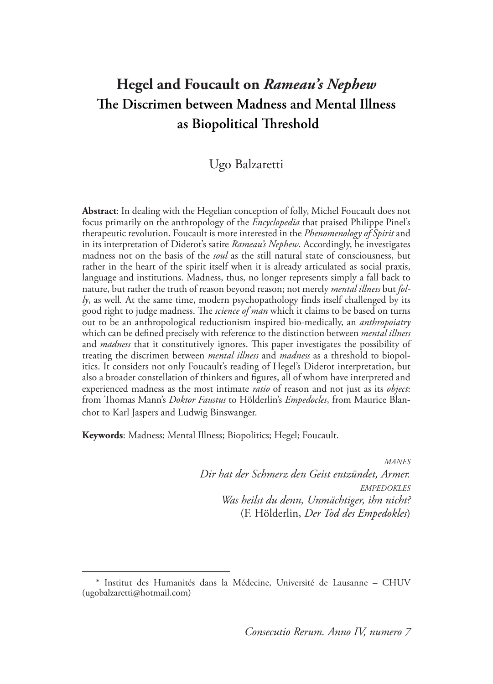# **Hegel and Foucault on** *Rameau's Nephew* **The Discrimen between Madness and Mental Illness as Biopolitical Threshold**

## Ugo Balzaretti

**Abstract**: In dealing with the Hegelian conception of folly, Michel Foucault does not focus primarily on the anthropology of the *Encyclopedia* that praised Philippe Pinel's therapeutic revolution. Foucault is more interested in the *Phenomenology of Spirit* and in its interpretation of Diderot's satire *Rameau's Nephew*. Accordingly, he investigates madness not on the basis of the *soul* as the still natural state of consciousness, but rather in the heart of the spirit itself when it is already articulated as social praxis, language and institutions. Madness, thus, no longer represents simply a fall back to nature, but rather the truth of reason beyond reason; not merely *mental illness* but *folly*, as well*.* At the same time, modern psychopathology finds itself challenged by its good right to judge madness. The *science of man* which it claims to be based on turns out to be an anthropological reductionism inspired bio-medically, an *anthropoiatry*  which can be defined precisely with reference to the distinction between *mental illness*  and *madness* that it constitutively ignores. This paper investigates the possibility of treating the discrimen between *mental illness* and *madness* as a threshold to biopolitics. It considers not only Foucault's reading of Hegel's Diderot interpretation, but also a broader constellation of thinkers and figures, all of whom have interpreted and experienced madness as the most intimate *ratio* of reason and not just as its *object*: from Thomas Mann's *Doktor Faustus* to Hölderlin's *Empedocles*, from Maurice Blanchot to Karl Jaspers and Ludwig Binswanger.

**Keywords**: Madness; Mental Illness; Biopolitics; Hegel; Foucault.

*manes Dir hat der Schmerz den Geist entzündet, Armer. empedokles Was heilst du denn, Unmächtiger, ihn nicht?* (F. Hölderlin, *Der Tod des Empedokles*)

<sup>\*</sup> Institut des Humanités dans la Médecine, Université de Lausanne – CHUV (ugobalzaretti@hotmail.com)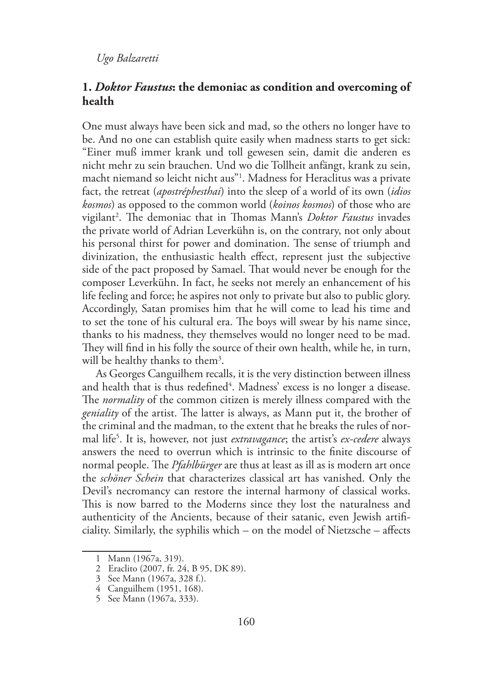## **1.** *Doktor Faustus***: the demoniac as condition and overcoming of health**

One must always have been sick and mad, so the others no longer have to be. And no one can establish quite easily when madness starts to get sick: "Einer muß immer krank und toll gewesen sein, damit die anderen es nicht mehr zu sein brauchen. Und wo die Tollheit anfängt, krank zu sein, macht niemand so leicht nicht aus"1 . Madness for Heraclitus was a private fact, the retreat (*apostréphesthai*) into the sleep of a world of its own (*idios kosmos*) as opposed to the common world (*koinos kosmos*) of those who are vigilant<sup>2</sup>. The demoniac that in Thomas Mann's *Doktor Faustus* invades the private world of Adrian Leverkühn is, on the contrary, not only about his personal thirst for power and domination. The sense of triumph and divinization, the enthusiastic health effect, represent just the subjective side of the pact proposed by Samael. That would never be enough for the composer Leverkühn. In fact, he seeks not merely an enhancement of his life feeling and force; he aspires not only to private but also to public glory. Accordingly, Satan promises him that he will come to lead his time and to set the tone of his cultural era. The boys will swear by his name since, thanks to his madness, they themselves would no longer need to be mad. They will find in his folly the source of their own health, while he, in turn, will be healthy thanks to them<sup>3</sup>.

As Georges Canguilhem recalls, it is the very distinction between illness and health that is thus redefined<sup>4</sup>. Madness' excess is no longer a disease. The *normality* of the common citizen is merely illness compared with the *geniality* of the artist. The latter is always, as Mann put it, the brother of the criminal and the madman, to the extent that he breaks the rules of normal life5 . It is, however, not just *extravagance*; the artist's *ex-cedere* always answers the need to overrun which is intrinsic to the finite discourse of normal people. The *Pfahlbürger* are thus at least as ill as is modern art once the *schöner Schein* that characterizes classical art has vanished. Only the Devil's necromancy can restore the internal harmony of classical works. This is now barred to the Moderns since they lost the naturalness and authenticity of the Ancients, because of their satanic, even Jewish artificiality. Similarly, the syphilis which – on the model of Nietzsche – affects

<sup>1</sup> Mann (1967a, 319).

<sup>2</sup> Eraclito (2007, fr. 24, B 95, DK 89).

<sup>3</sup> See Mann (1967a, 328 f.).

<sup>4</sup> Canguilhem (1951, 168).

<sup>5</sup> See Mann (1967a, 333).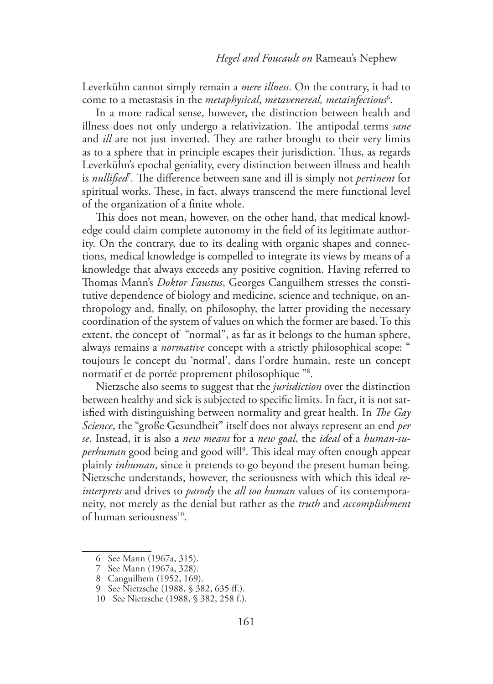Leverkühn cannot simply remain a *mere illness*. On the contrary, it had to come to a metastasis in the *metaphysical*, *metavenereal, metainfectious*<sup>6</sup> .

In a more radical sense, however, the distinction between health and illness does not only undergo a relativization. The antipodal terms *sane*  and *ill* are not just inverted. They are rather brought to their very limits as to a sphere that in principle escapes their jurisdiction. Thus, as regards Leverkühn's epochal geniality, every distinction between illness and health is *nullified*<sup>7</sup> *.* The difference between sane and ill is simply not *pertinent* for spiritual works. These, in fact, always transcend the mere functional level of the organization of a finite whole.

This does not mean, however, on the other hand, that medical knowledge could claim complete autonomy in the field of its legitimate authority. On the contrary, due to its dealing with organic shapes and connections, medical knowledge is compelled to integrate its views by means of a knowledge that always exceeds any positive cognition. Having referred to Thomas Mann's *Doktor Faustus*, Georges Canguilhem stresses the constitutive dependence of biology and medicine, science and technique, on anthropology and, finally, on philosophy, the latter providing the necessary coordination of the system of values on which the former are based. To this extent, the concept of "normal", as far as it belongs to the human sphere, always remains a *normative* concept with a strictly philosophical scope: " toujours le concept du 'normal', dans l'ordre humain, reste un concept normatif et de portée proprement philosophique "8 .

Nietzsche also seems to suggest that the *jurisdiction* over the distinction between healthy and sick is subjected to specific limits. In fact, it is not satisfied with distinguishing between normality and great health. In *The Gay Science*, the "große Gesundheit" itself does not always represent an end *per se*. Instead, it is also a *new means* for a *new goal*, the *ideal* of a *human-su*perhuman good being and good will<sup>9</sup>. This ideal may often enough appear plainly *inhuman*, since it pretends to go beyond the present human being*.*  Nietzsche understands, however, the seriousness with which this ideal *reinterprets* and drives to *parody* the *all too human* values of its contemporaneity, not merely as the denial but rather as the *truth* and *accomplishment* of human seriousness<sup>10</sup>.

<sup>6</sup> See Mann (1967a, 315).

<sup>7</sup> See Mann (1967a, 328).

<sup>8</sup> Canguilhem (1952, 169).

<sup>9</sup> See Nietzsche (1988, § 382, 635 ff.).

<sup>10</sup> See Nietzsche (1988, § 382, 258 f.).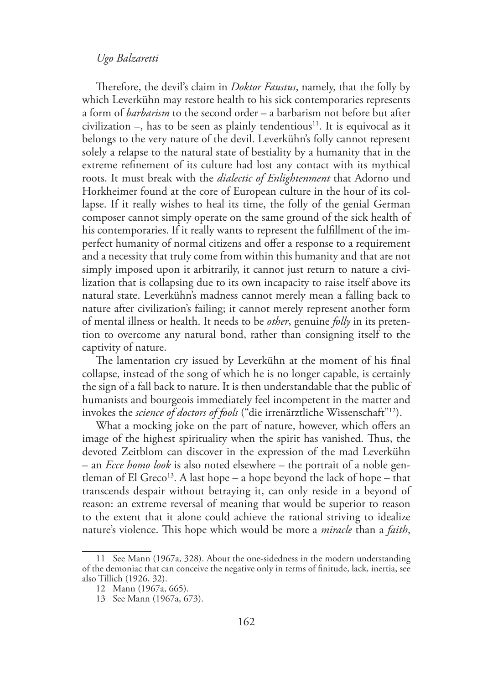Therefore, the devil's claim in *Doktor Faustus*, namely, that the folly by which Leverkühn may restore health to his sick contemporaries represents a form of *barbarism* to the second order – a barbarism not before but after civilization –, has to be seen as plainly tendentious<sup>11</sup>. It is equivocal as it belongs to the very nature of the devil. Leverkühn's folly cannot represent solely a relapse to the natural state of bestiality by a humanity that in the extreme refinement of its culture had lost any contact with its mythical roots. It must break with the *dialectic of Enlightenment* that Adorno und Horkheimer found at the core of European culture in the hour of its collapse. If it really wishes to heal its time, the folly of the genial German composer cannot simply operate on the same ground of the sick health of his contemporaries. If it really wants to represent the fulfillment of the imperfect humanity of normal citizens and offer a response to a requirement and a necessity that truly come from within this humanity and that are not simply imposed upon it arbitrarily, it cannot just return to nature a civilization that is collapsing due to its own incapacity to raise itself above its natural state. Leverkühn's madness cannot merely mean a falling back to nature after civilization's failing; it cannot merely represent another form of mental illness or health. It needs to be *other*, genuine *folly* in its pretention to overcome any natural bond, rather than consigning itself to the captivity of nature.

The lamentation cry issued by Leverkühn at the moment of his final collapse, instead of the song of which he is no longer capable, is certainly the sign of a fall back to nature. It is then understandable that the public of humanists and bourgeois immediately feel incompetent in the matter and invokes the *science of doctors of fools* ("die irrenärztliche Wissenschaft"12).

What a mocking joke on the part of nature, however, which offers an image of the highest spirituality when the spirit has vanished. Thus, the devoted Zeitblom can discover in the expression of the mad Leverkühn – an *Ecce homo look* is also noted elsewhere – the portrait of a noble gentleman of El Greco<sup>13</sup>. A last hope – a hope beyond the lack of hope – that transcends despair without betraying it, can only reside in a beyond of reason: an extreme reversal of meaning that would be superior to reason to the extent that it alone could achieve the rational striving to idealize nature's violence. This hope which would be more a *miracle* than a *faith*,

<sup>11</sup> See Mann (1967a, 328). About the one-sidedness in the modern understanding of the demoniac that can conceive the negative only in terms of finitude, lack, inertia, see also Tillich (1926, 32).

<sup>12</sup> Mann (1967a, 665).

<sup>13</sup> See Mann (1967a, 673).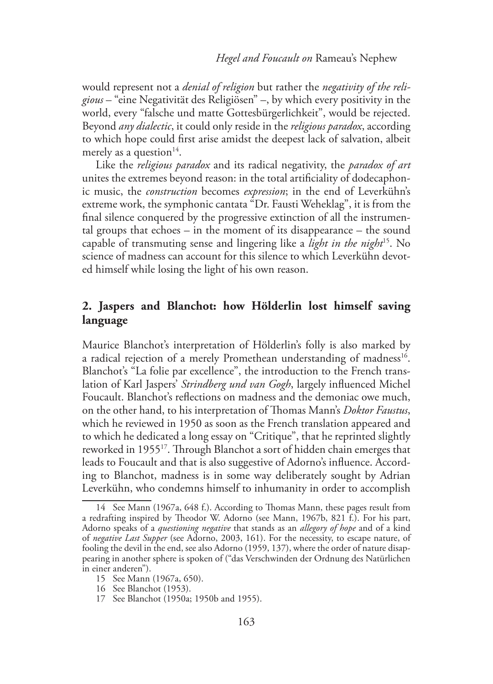would represent not a *denial of religion* but rather the *negativity of the religious* – "eine Negativität des Religiösen" –, by which every positivity in the world, every "falsche und matte Gottesbürgerlichkeit", would be rejected. Beyond *any dialectic*, it could only reside in the *religious paradox*, according to which hope could first arise amidst the deepest lack of salvation, albeit merely as a question<sup>14</sup>.

Like the *religious paradox* and its radical negativity, the *paradox of art* unites the extremes beyond reason: in the total artificiality of dodecaphonic music, the *construction* becomes *expression*; in the end of Leverkühn's extreme work, the symphonic cantata "Dr. Fausti Weheklag", it is from the final silence conquered by the progressive extinction of all the instrumental groups that echoes – in the moment of its disappearance – the sound capable of transmuting sense and lingering like a *light in the night*15. No science of madness can account for this silence to which Leverkühn devoted himself while losing the light of his own reason.

## **2. Jaspers and Blanchot: how Hölderlin lost himself saving language**

Maurice Blanchot's interpretation of Hölderlin's folly is also marked by a radical rejection of a merely Promethean understanding of madness<sup>16</sup>. Blanchot's "La folie par excellence", the introduction to the French translation of Karl Jaspers' *Strindberg und van Gogh*, largely influenced Michel Foucault. Blanchot's reflections on madness and the demoniac owe much, on the other hand, to his interpretation of Thomas Mann's *Doktor Faustus*, which he reviewed in 1950 as soon as the French translation appeared and to which he dedicated a long essay on "Critique", that he reprinted slightly reworked in 195517. Through Blanchot a sort of hidden chain emerges that leads to Foucault and that is also suggestive of Adorno's influence. According to Blanchot, madness is in some way deliberately sought by Adrian Leverkühn, who condemns himself to inhumanity in order to accomplish

<sup>14</sup> See Mann (1967a, 648 f.). According to Thomas Mann, these pages result from a redrafting inspired by Theodor W. Adorno (see Mann, 1967b, 821 f.). For his part, Adorno speaks of a *questioning negative* that stands as an *allegory of hope* and of a kind of *negative Last Supper* (see Adorno, 2003, 161). For the necessity, to escape nature, of fooling the devil in the end, see also Adorno (1959, 137), where the order of nature disappearing in another sphere is spoken of ("das Verschwinden der Ordnung des Natürlichen in einer anderen").

<sup>15</sup> See Mann (1967a, 650).

<sup>16</sup> See Blanchot (1953).

<sup>17</sup> See Blanchot (1950a; 1950b and 1955).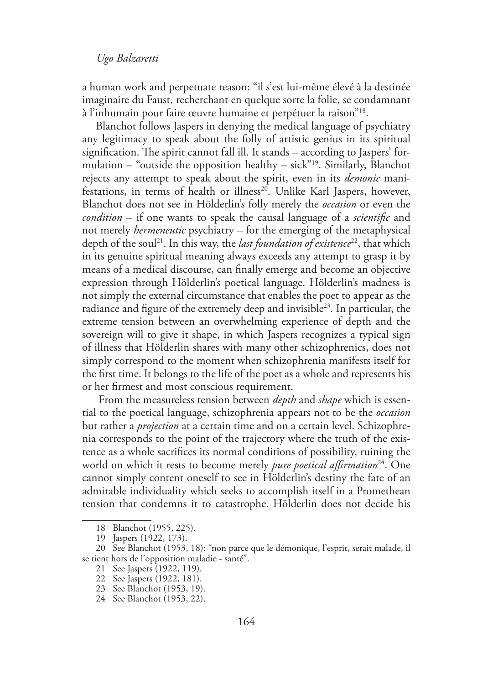a human work and perpetuate reason: "il s'est lui-même élevé à la destinée imaginaire du Faust, recherchant en quelque sorte la folie, se condamnant à l'inhumain pour faire œuvre humaine et perpétuer la raison"18.

Blanchot follows Jaspers in denying the medical language of psychiatry any legitimacy to speak about the folly of artistic genius in its spiritual signification. The spirit cannot fall ill. It stands – according to Jaspers' formulation – "outside the opposition healthy – sick"<sup>19</sup>. Similarly, Blanchot rejects any attempt to speak about the spirit, even in its *demonic* manifestations, in terms of health or illness<sup>20</sup>. Unlike Karl Jaspers, however, Blanchot does not see in Hölderlin's folly merely the *occasion* or even the *condition* – if one wants to speak the causal language of a *scientific* and not merely *hermeneutic* psychiatry – for the emerging of the metaphysical depth of the soul<sup>21</sup>. In this way, the *last foundation of existence*<sup>22</sup>, that which in its genuine spiritual meaning always exceeds any attempt to grasp it by means of a medical discourse, can finally emerge and become an objective expression through Hölderlin's poetical language. Hölderlin's madness is not simply the external circumstance that enables the poet to appear as the radiance and figure of the extremely deep and invisible23*.* In particular, the extreme tension between an overwhelming experience of depth and the sovereign will to give it shape, in which Jaspers recognizes a typical sign of illness that Hölderlin shares with many other schizophrenics, does not simply correspond to the moment when schizophrenia manifests itself for the first time. It belongs to the life of the poet as a whole and represents his or her firmest and most conscious requirement.

 From the measureless tension between *depth* and *shape* which is essential to the poetical language, schizophrenia appears not to be the *occasion* but rather a *projection* at a certain time and on a certain level. Schizophrenia corresponds to the point of the trajectory where the truth of the existence as a whole sacrifices its normal conditions of possibility, ruining the world on which it rests to become merely *pure poetical affirmation*<sup>24</sup>. One cannot simply content oneself to see in Hölderlin's destiny the fate of an admirable individuality which seeks to accomplish itself in a Promethean tension that condemns it to catastrophe. Hölderlin does not decide his

<sup>18</sup> Blanchot (1955, 225).

<sup>19</sup> Jaspers (1922, 173).

<sup>20</sup> See Blanchot (1953, 18): "non parce que le démonique, l'esprit, serait malade, il se tient hors de l'opposition maladie - santé".

<sup>21</sup> See Jaspers (1922, 119).

<sup>22</sup> See Jaspers (1922, 181).

<sup>23</sup> See Blanchot (1953, 19).

<sup>24</sup> See Blanchot (1953, 22).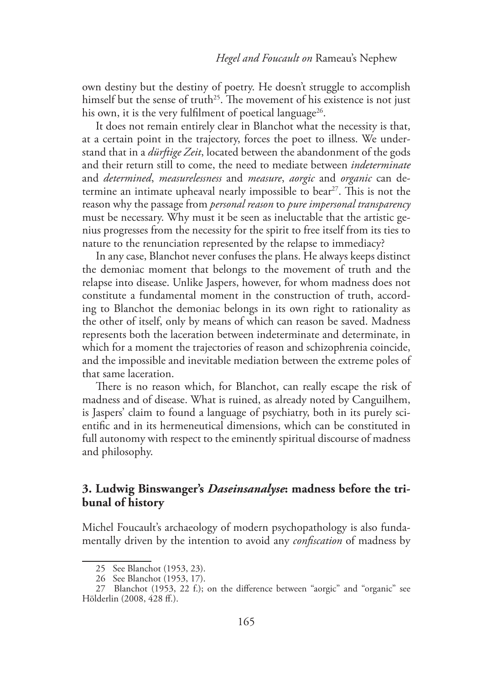own destiny but the destiny of poetry. He doesn't struggle to accomplish himself but the sense of truth<sup>25</sup>. The movement of his existence is not just his own, it is the very fulfilment of poetical language<sup>26</sup>.

It does not remain entirely clear in Blanchot what the necessity is that, at a certain point in the trajectory, forces the poet to illness. We understand that in a *dürftige Zeit*, located between the abandonment of the gods and their return still to come, the need to mediate between *indeterminate*  and *determined*, *measurelessness* and *measure*, *aorgic* and *organic* can determine an intimate upheaval nearly impossible to bear<sup>27</sup>. This is not the reason why the passage from *personal reason* to *pure impersonal transparency* must be necessary. Why must it be seen as ineluctable that the artistic genius progresses from the necessity for the spirit to free itself from its ties to nature to the renunciation represented by the relapse to immediacy?

In any case, Blanchot never confuses the plans. He always keeps distinct the demoniac moment that belongs to the movement of truth and the relapse into disease. Unlike Jaspers, however, for whom madness does not constitute a fundamental moment in the construction of truth, according to Blanchot the demoniac belongs in its own right to rationality as the other of itself, only by means of which can reason be saved. Madness represents both the laceration between indeterminate and determinate, in which for a moment the trajectories of reason and schizophrenia coincide, and the impossible and inevitable mediation between the extreme poles of that same laceration.

There is no reason which, for Blanchot, can really escape the risk of madness and of disease. What is ruined, as already noted by Canguilhem, is Jaspers' claim to found a language of psychiatry, both in its purely scientific and in its hermeneutical dimensions, which can be constituted in full autonomy with respect to the eminently spiritual discourse of madness and philosophy.

## **3. Ludwig Binswanger's** *Daseinsanalyse***: madness before the tribunal of history**

Michel Foucault's archaeology of modern psychopathology is also fundamentally driven by the intention to avoid any *confiscation* of madness by

<sup>25</sup> See Blanchot (1953, 23).

<sup>26</sup> See Blanchot (1953, 17).

<sup>27</sup> Blanchot (1953, 22 f.); on the difference between "aorgic" and "organic" see Hölderlin (2008, 428 ff.).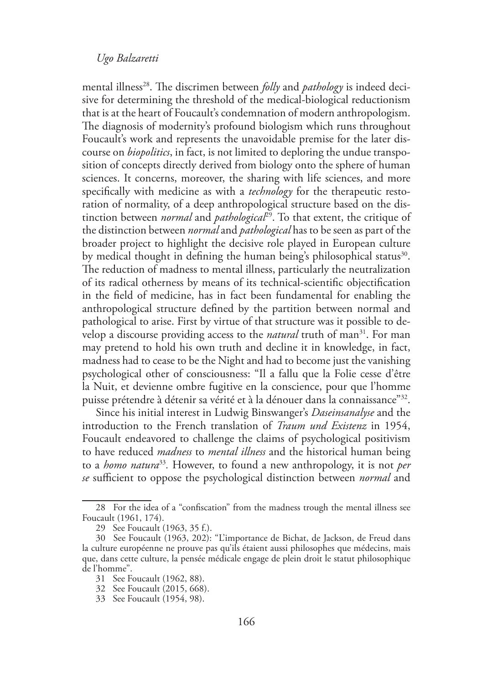mental illness<sup>28</sup>. The discrimen between *folly* and *pathology* is indeed decisive for determining the threshold of the medical-biological reductionism that is at the heart of Foucault's condemnation of modern anthropologism. The diagnosis of modernity's profound biologism which runs throughout Foucault's work and represents the unavoidable premise for the later discourse on *biopolitics*, in fact, is not limited to deploring the undue transposition of concepts directly derived from biology onto the sphere of human sciences. It concerns, moreover, the sharing with life sciences, and more specifically with medicine as with a *technology* for the therapeutic restoration of normality, of a deep anthropological structure based on the distinction between *normal* and *pathological*29. To that extent, the critique of the distinction between *normal* and *pathological* has to be seen as part of the broader project to highlight the decisive role played in European culture by medical thought in defining the human being's philosophical status<sup>30</sup>. The reduction of madness to mental illness, particularly the neutralization of its radical otherness by means of its technical-scientific objectification in the field of medicine, has in fact been fundamental for enabling the anthropological structure defined by the partition between normal and pathological to arise. First by virtue of that structure was it possible to develop a discourse providing access to the *natural* truth of man<sup>31</sup>. For man may pretend to hold his own truth and decline it in knowledge, in fact, madness had to cease to be the Night and had to become just the vanishing psychological other of consciousness: "Il a fallu que la Folie cesse d'être la Nuit, et devienne ombre fugitive en la conscience, pour que l'homme puisse prétendre à détenir sa vérité et à la dénouer dans la connaissance"32.

Since his initial interest in Ludwig Binswanger's *Daseinsanalyse* and the introduction to the French translation of *Traum und Existenz* in 1954, Foucault endeavored to challenge the claims of psychological positivism to have reduced *madness* to *mental illness* and the historical human being to a *homo natura*<sup>33</sup>*.* However, to found a new anthropology, it is not *per se* sufficient to oppose the psychological distinction between *normal* and

<sup>28</sup> For the idea of a "confiscation" from the madness trough the mental illness see Foucault (1961, 174).

<sup>29</sup> See Foucault (1963, 35 f.).

<sup>30</sup> See Foucault (1963, 202): "L'importance de Bichat, de Jackson, de Freud dans la culture européenne ne prouve pas qu'ils étaient aussi philosophes que médecins, mais que, dans cette culture, la pensée médicale engage de plein droit le statut philosophique de l'homme".

<sup>31</sup> See Foucault (1962, 88).

<sup>32</sup> See Foucault (2015, 668).

<sup>33</sup> See Foucault (1954, 98).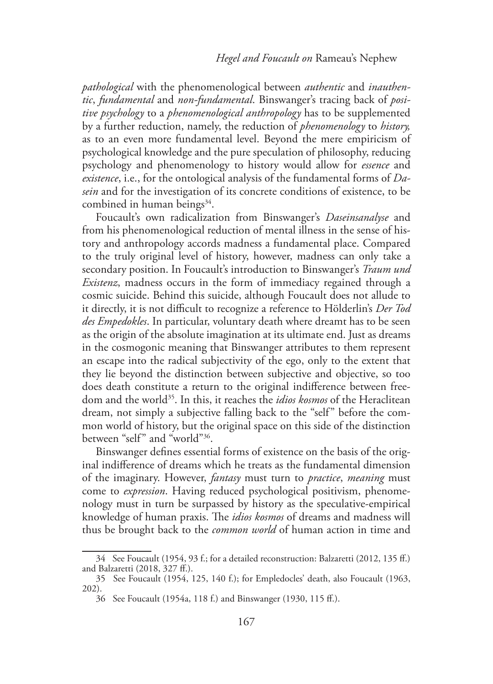*pathological* with the phenomenological between *authentic* and *inauthentic*, *fundamental* and *non-fundamental*. Binswanger's tracing back of *positive psychology* to a *phenomenological anthropology* has to be supplemented by a further reduction, namely, the reduction of *phenomenology* to *history,*  as to an even more fundamental level. Beyond the mere empiricism of psychological knowledge and the pure speculation of philosophy, reducing psychology and phenomenology to history would allow for *essence* and *existence*, i.e., for the ontological analysis of the fundamental forms of *Dasein* and for the investigation of its concrete conditions of existence, to be combined in human beings $34$ .

Foucault's own radicalization from Binswanger's *Daseinsanalyse* and from his phenomenological reduction of mental illness in the sense of history and anthropology accords madness a fundamental place. Compared to the truly original level of history, however, madness can only take a secondary position. In Foucault's introduction to Binswanger's *Traum und Existenz*, madness occurs in the form of immediacy regained through a cosmic suicide. Behind this suicide, although Foucault does not allude to it directly, it is not difficult to recognize a reference to Hölderlin's *Der Tod des Empedokles*. In particular, voluntary death where dreamt has to be seen as the origin of the absolute imagination at its ultimate end. Just as dreams in the cosmogonic meaning that Binswanger attributes to them represent an escape into the radical subjectivity of the ego, only to the extent that they lie beyond the distinction between subjective and objective, so too does death constitute a return to the original indifference between freedom and the world35. In this, it reaches the *idios kosmos* of the Heraclitean dream, not simply a subjective falling back to the "self" before the common world of history, but the original space on this side of the distinction between "self" and "world"36.

Binswanger defines essential forms of existence on the basis of the original indifference of dreams which he treats as the fundamental dimension of the imaginary. However, *fantasy* must turn to *practice*, *meaning* must come to *expression*. Having reduced psychological positivism, phenomenology must in turn be surpassed by history as the speculative-empirical knowledge of human praxis. The *idios kosmos* of dreams and madness will thus be brought back to the *common world* of human action in time and

<sup>34</sup> See Foucault (1954, 93 f.; for a detailed reconstruction: Balzaretti (2012, 135 ff.) and Balzaretti (2018, 327 ff.).

<sup>35</sup> See Foucault (1954, 125, 140 f.); for Empledocles' death, also Foucault (1963, 202).

<sup>36</sup> See Foucault (1954a, 118 f.) and Binswanger (1930, 115 ff.).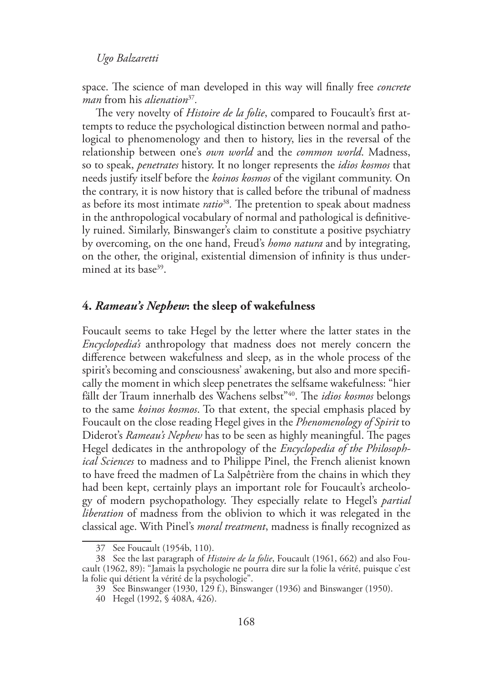space. The science of man developed in this way will finally free *concrete man* from his *alienation*<sup>37</sup>*.*

The very novelty of *Histoire de la folie*, compared to Foucault's first attempts to reduce the psychological distinction between normal and pathological to phenomenology and then to history, lies in the reversal of the relationship between one's *own world* and the *common world*. Madness, so to speak, *penetrates* history. It no longer represents the *idios kosmos* that needs justify itself before the *koinos kosmos* of the vigilant community. On the contrary, it is now history that is called before the tribunal of madness as before its most intimate *ratio*<sup>38</sup>*.* The pretention to speak about madness in the anthropological vocabulary of normal and pathological is definitively ruined. Similarly, Binswanger's claim to constitute a positive psychiatry by overcoming, on the one hand, Freud's *homo natura* and by integrating, on the other, the original, existential dimension of infinity is thus undermined at its base<sup>39</sup>.

#### **4.** *Rameau's Nephew***: the sleep of wakefulness**

Foucault seems to take Hegel by the letter where the latter states in the *Encyclopedia's* anthropology that madness does not merely concern the difference between wakefulness and sleep, as in the whole process of the spirit's becoming and consciousness' awakening, but also and more specifically the moment in which sleep penetrates the selfsame wakefulness: "hier fällt der Traum innerhalb des Wachens selbst"40. The *idios kosmos* belongs to the same *koinos kosmos*. To that extent, the special emphasis placed by Foucault on the close reading Hegel gives in the *Phenomenology of Spirit* to Diderot's *Rameau's Nephew* has to be seen as highly meaningful. The pages Hegel dedicates in the anthropology of the *Encyclopedia of the Philosophical Sciences* to madness and to Philippe Pinel, the French alienist known to have freed the madmen of La Salpêtrière from the chains in which they had been kept, certainly plays an important role for Foucault's archeology of modern psychopathology. They especially relate to Hegel's *partial liberation* of madness from the oblivion to which it was relegated in the classical age. With Pinel's *moral treatment*, madness is finally recognized as

<sup>37</sup> See Foucault (1954b, 110).

<sup>38</sup> See the last paragraph of *Histoire de la folie*, Foucault (1961, 662) and also Foucault (1962, 89): "Jamais la psychologie ne pourra dire sur la folie la vérité, puisque c'est la folie qui détient la vérité de la psychologie".

<sup>39</sup> See Binswanger (1930, 129 f.), Binswanger (1936) and Binswanger (1950).

<sup>40</sup> Hegel (1992, § 408A, 426).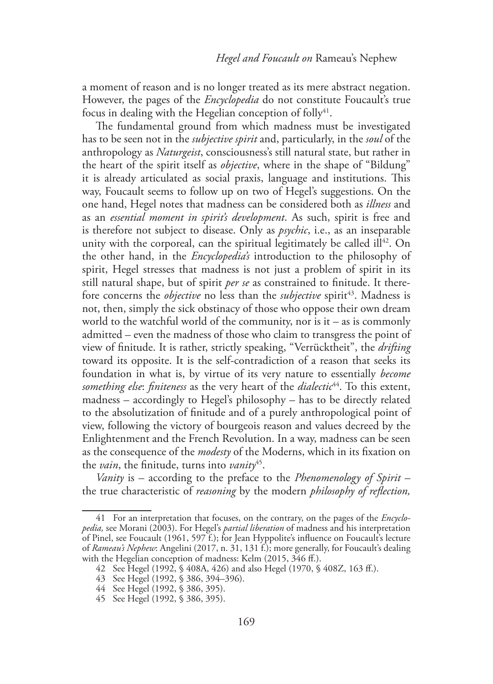a moment of reason and is no longer treated as its mere abstract negation. However, the pages of the *Encyclopedia* do not constitute Foucault's true focus in dealing with the Hegelian conception of folly $41$ .

The fundamental ground from which madness must be investigated has to be seen not in the *subjective spirit* and, particularly, in the *soul* of the anthropology as *Naturgeist*, consciousness's still natural state, but rather in the heart of the spirit itself as *objective*, where in the shape of "Bildung" it is already articulated as social praxis, language and institutions. This way, Foucault seems to follow up on two of Hegel's suggestions. On the one hand, Hegel notes that madness can be considered both as *illness* and as an *essential moment in spirit's development*. As such, spirit is free and is therefore not subject to disease. Only as *psychic*, i.e., as an inseparable unity with the corporeal, can the spiritual legitimately be called ill<sup>42</sup>. On the other hand, in the *Encyclopedia's* introduction to the philosophy of spirit, Hegel stresses that madness is not just a problem of spirit in its still natural shape, but of spirit *per se* as constrained to finitude. It therefore concerns the *objective* no less than the *subjective* spirit<sup>43</sup>. Madness is not, then, simply the sick obstinacy of those who oppose their own dream world to the watchful world of the community, nor is  $it - as$  is commonly admitted – even the madness of those who claim to transgress the point of view of finitude. It is rather, strictly speaking, "Verrücktheit", the *drifting*  toward its opposite. It is the self-contradiction of a reason that seeks its foundation in what is, by virtue of its very nature to essentially *become something else*: *finiteness* as the very heart of the *dialectic*44. To this extent, madness – accordingly to Hegel's philosophy – has to be directly related to the absolutization of finitude and of a purely anthropological point of view, following the victory of bourgeois reason and values decreed by the Enlightenment and the French Revolution. In a way, madness can be seen as the consequence of the *modesty* of the Moderns, which in its fixation on the *vain*, the finitude, turns into *vanity*45.

*Vanity* is – according to the preface to the *Phenomenology of Spirit* – the true characteristic of *reasoning* by the modern *philosophy of reflection,* 

<sup>41</sup> For an interpretation that focuses, on the contrary, on the pages of the *Encyclopedia,* see Morani (2003). For Hegel's *partial liberation* of madness and his interpretation of Pinel, see Foucault (1961, 597 f.); for Jean Hyppolite's influence on Foucault's lecture of *Rameau's Nephew*: Angelini (2017, n. 31, 131 f.); more generally, for Foucault's dealing with the Hegelian conception of madness: Kelm (2015, 346 ff.).

<sup>42</sup> See Hegel (1992, § 408A, 426) and also Hegel (1970, § 408Z, 163 ff.).

<sup>43</sup> See Hegel (1992, § 386, 394–396).

<sup>44</sup> See Hegel (1992, § 386, 395).

<sup>45</sup> See Hegel (1992, § 386, 395).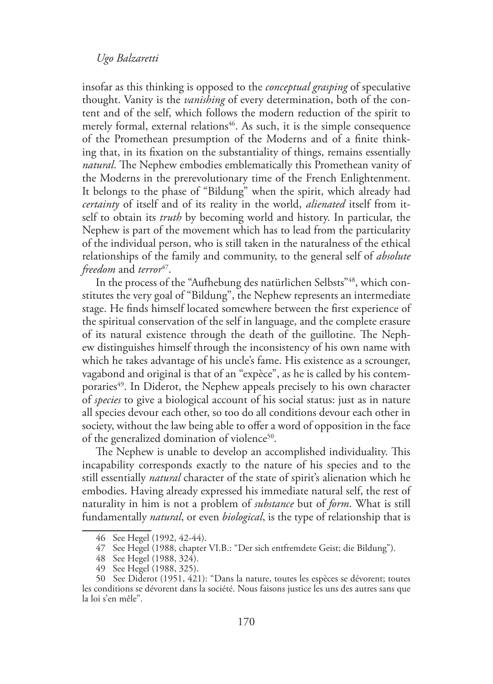insofar as this thinking is opposed to the *conceptual grasping* of speculative thought. Vanity is the *vanishing* of every determination, both of the content and of the self, which follows the modern reduction of the spirit to merely formal, external relations<sup>46</sup>. As such, it is the simple consequence of the Promethean presumption of the Moderns and of a finite thinking that, in its fixation on the substantiality of things, remains essentially *natural*. The Nephew embodies emblematically this Promethean vanity of the Moderns in the prerevolutionary time of the French Enlightenment. It belongs to the phase of "Bildung" when the spirit, which already had *certainty* of itself and of its reality in the world, *alienated* itself from itself to obtain its *truth* by becoming world and history. In particular, the Nephew is part of the movement which has to lead from the particularity of the individual person, who is still taken in the naturalness of the ethical relationships of the family and community, to the general self of *absolute freedom* and *terror*<sup>47</sup>.

In the process of the "Aufhebung des natürlichen Selbsts"48, which constitutes the very goal of "Bildung", the Nephew represents an intermediate stage. He finds himself located somewhere between the first experience of the spiritual conservation of the self in language, and the complete erasure of its natural existence through the death of the guillotine. The Nephew distinguishes himself through the inconsistency of his own name with which he takes advantage of his uncle's fame. His existence as a scrounger, vagabond and original is that of an "expèce", as he is called by his contemporaries<sup>49</sup>. In Diderot, the Nephew appeals precisely to his own character of *species* to give a biological account of his social status: just as in nature all species devour each other, so too do all conditions devour each other in society, without the law being able to offer a word of opposition in the face of the generalized domination of violence<sup>50</sup>.

The Nephew is unable to develop an accomplished individuality. This incapability corresponds exactly to the nature of his species and to the still essentially *natural* character of the state of spirit's alienation which he embodies. Having already expressed his immediate natural self, the rest of naturality in him is not a problem of *substance* but of *form*. What is still fundamentally *natural*, or even *biological*, is the type of relationship that is

<sup>46</sup> See Hegel (1992, 42-44).

<sup>47</sup> See Hegel (1988, chapter VI.B.: "Der sich entfremdete Geist; die Bildung").

<sup>48</sup> See Hegel (1988, 324).

<sup>49</sup> See Hegel (1988, 325).

<sup>50</sup> See Diderot (1951, 421): "Dans la nature, toutes les espèces se dévorent; toutes les conditions se dévorent dans la société. Nous faisons justice les uns des autres sans que la loi s'en mêle".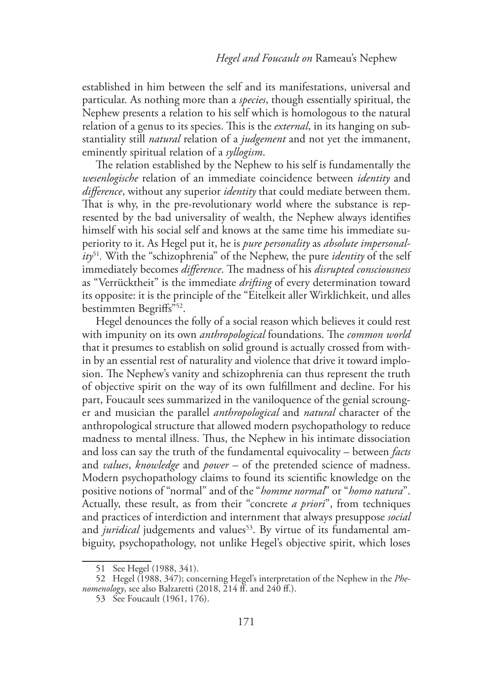established in him between the self and its manifestations, universal and particular. As nothing more than a *species*, though essentially spiritual, the Nephew presents a relation to his self which is homologous to the natural relation of a genus to its species. This is the *external*, in its hanging on substantiality still *natural* relation of a *judgement* and not yet the immanent, eminently spiritual relation of a *syllogism*.

The relation established by the Nephew to his self is fundamentally the *wesenlogische* relation of an immediate coincidence between *identity* and *difference*, without any superior *identity* that could mediate between them. That is why, in the pre-revolutionary world where the substance is represented by the bad universality of wealth, the Nephew always identifies himself with his social self and knows at the same time his immediate superiority to it. As Hegel put it, he is *pure personality* as *absolute impersonality*<sup>51</sup>*.* With the "schizophrenia" of the Nephew, the pure *identity* of the self immediately becomes *difference*. The madness of his *disrupted consciousness*  as "Verrücktheit" is the immediate *drifting* of every determination toward its opposite: it is the principle of the "Eitelkeit aller Wirklichkeit, und alles bestimmten Begriffs"52.

Hegel denounces the folly of a social reason which believes it could rest with impunity on its own *anthropological* foundations. The *common world*  that it presumes to establish on solid ground is actually crossed from within by an essential rest of naturality and violence that drive it toward implosion. The Nephew's vanity and schizophrenia can thus represent the truth of objective spirit on the way of its own fulfillment and decline. For his part, Foucault sees summarized in the vaniloquence of the genial scrounger and musician the parallel *anthropological* and *natural* character of the anthropological structure that allowed modern psychopathology to reduce madness to mental illness. Thus, the Nephew in his intimate dissociation and loss can say the truth of the fundamental equivocality – between *facts*  and *values*, *knowledge* and *power* – of the pretended science of madness. Modern psychopathology claims to found its scientific knowledge on the positive notions of "normal" and of the "*homme normal*" or "*homo natura*". Actually, these result, as from their "concrete *a priori*", from techniques and practices of interdiction and internment that always presuppose *social* and *juridical* judgements and values<sup>53</sup>. By virtue of its fundamental ambiguity, psychopathology, not unlike Hegel's objective spirit, which loses

<sup>51</sup> See Hegel (1988, 341).

<sup>52</sup> Hegel (1988, 347); concerning Hegel's interpretation of the Nephew in the *Phenomenology*, see also Balzaretti (2018, 214 ff. and 240 ff.).

<sup>53</sup> See Foucault (1961, 176).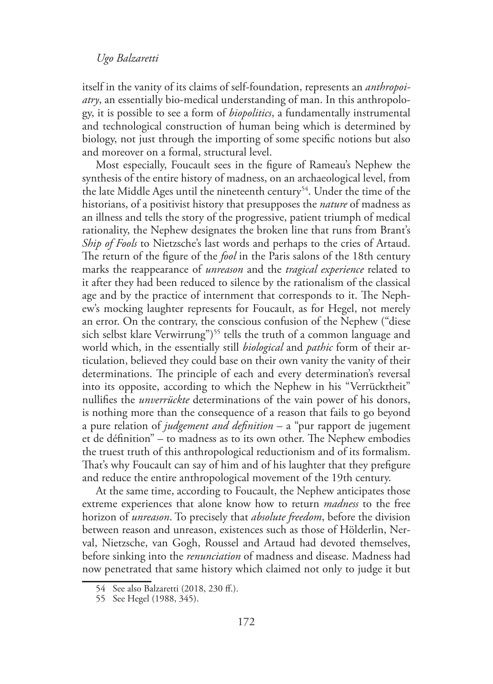itself in the vanity of its claims of self-foundation, represents an *anthropoiatry*, an essentially bio-medical understanding of man. In this anthropology, it is possible to see a form of *biopolitics*, a fundamentally instrumental and technological construction of human being which is determined by biology, not just through the importing of some specific notions but also and moreover on a formal, structural level.

Most especially, Foucault sees in the figure of Rameau's Nephew the synthesis of the entire history of madness, on an archaeological level, from the late Middle Ages until the nineteenth century<sup>54</sup>. Under the time of the historians, of a positivist history that presupposes the *nature* of madness as an illness and tells the story of the progressive, patient triumph of medical rationality, the Nephew designates the broken line that runs from Brant's *Ship of Fools* to Nietzsche's last words and perhaps to the cries of Artaud. The return of the figure of the *fool* in the Paris salons of the 18th century marks the reappearance of *unreason* and the *tragical experience* related to it after they had been reduced to silence by the rationalism of the classical age and by the practice of internment that corresponds to it. The Nephew's mocking laughter represents for Foucault, as for Hegel, not merely an error. On the contrary, the conscious confusion of the Nephew ("diese sich selbst klare Verwirrung")<sup>55</sup> tells the truth of a common language and world which, in the essentially still *biological* and *pathic* form of their articulation, believed they could base on their own vanity the vanity of their determinations. The principle of each and every determination's reversal into its opposite, according to which the Nephew in his "Verrücktheit" nullifies the *unverrückte* determinations of the vain power of his donors, is nothing more than the consequence of a reason that fails to go beyond a pure relation of *judgement and definition* – a "pur rapport de jugement et de définition" – to madness as to its own other. The Nephew embodies the truest truth of this anthropological reductionism and of its formalism. That's why Foucault can say of him and of his laughter that they prefigure and reduce the entire anthropological movement of the 19th century.

At the same time, according to Foucault, the Nephew anticipates those extreme experiences that alone know how to return *madness* to the free horizon of *unreason*. To precisely that *absolute freedom*, before the division between reason and unreason, existences such as those of Hölderlin, Nerval, Nietzsche, van Gogh, Roussel and Artaud had devoted themselves, before sinking into the *renunciation* of madness and disease. Madness had now penetrated that same history which claimed not only to judge it but

<sup>54</sup> See also Balzaretti (2018, 230 ff.).

<sup>55</sup> See Hegel (1988, 345).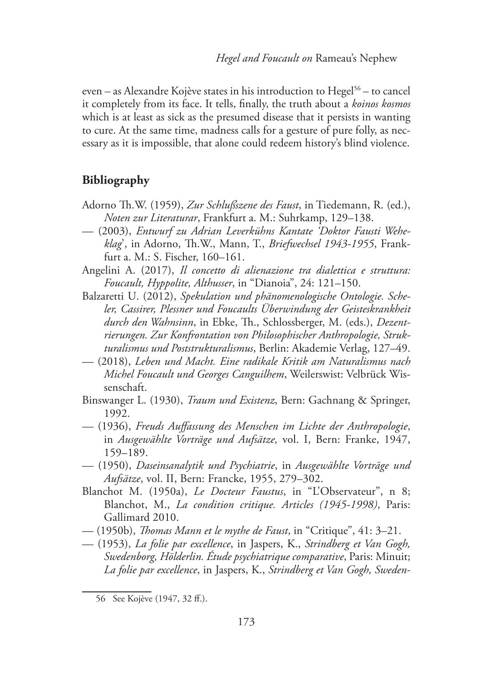even – as Alexandre Kojève states in his introduction to Hegel<sup>56</sup> – to cancel it completely from its face. It tells, finally, the truth about a *koinos kosmos* which is at least as sick as the presumed disease that it persists in wanting to cure. At the same time, madness calls for a gesture of pure folly, as necessary as it is impossible, that alone could redeem history's blind violence.

### **Bibliography**

- Adorno Th.W. (1959), *Zur Schlußszene des Faust*, in Tiedemann, R. (ed.), *Noten zur Literaturar*, Frankfurt a. M.: Suhrkamp, 129–138.
- (2003), *Entwurf zu Adrian Leverkühns Kantate 'Doktor Fausti Weheklag*', in Adorno, Th.W., Mann, T., *Briefwechsel 1943-1955*, Frankfurt a. M.: S. Fischer, 160–161.
- Angelini A. (2017), *Il concetto di alienazione tra dialettica e struttura: Foucault, Hyppolite, Althusser*, in "Dianoia", 24: 121–150.
- Balzaretti U. (2012), *Spekulation und phänomenologische Ontologie. Scheler, Cassirer, Plessner und Foucaults Überwindung der Geisteskrankheit durch den Wahnsinn*, in Ebke, Th., Schlossberger, M. (eds.), *Dezentrierungen. Zur Konfrontation von Philosophischer Anthropologie, Strukturalismus und Poststrukturalismus*, Berlin: Akademie Verlag, 127–49.
- (2018), *Leben und Macht. Eine radikale Kritik am Naturalismus nach Michel Foucault und Georges Canguilhem*, Weilerswist: Velbrück Wissenschaft.
- Binswanger L. (1930), *Traum und Existenz*, Bern: Gachnang & Springer, 1992.
- (1936), *Freuds Auffassung des Menschen im Lichte der Anthropologie*, in *Ausgewählte Vorträge und Aufsätze,* vol. I, Bern: Franke, 1947, 159–189.
- (1950), *Daseinsanalytik und Psychiatrie*, in *Ausgewählte Vorträge und Aufsätze*, vol. II, Bern: Francke, 1955, 279–302.
- Blanchot M. (1950a), *Le Docteur Faustus*, in "L'Observateur", n 8; Blanchot, M., *La condition critique. Articles (1945-1998)*, Paris: Gallimard 2010.
- (1950b), *Thomas Mann et le mythe de Faust*, in "Critique", 41: 3–21.
- (1953), *La folie par excellence*, in Jaspers, K., *Strindberg et Van Gogh, Swedenborg, Hölderlin. Étude psychiatrique comparative*, Paris: Minuit; *La folie par excellence*, in Jaspers, K., *Strindberg et Van Gogh, Sweden-*

<sup>56</sup> See Kojève (1947, 32 ff.).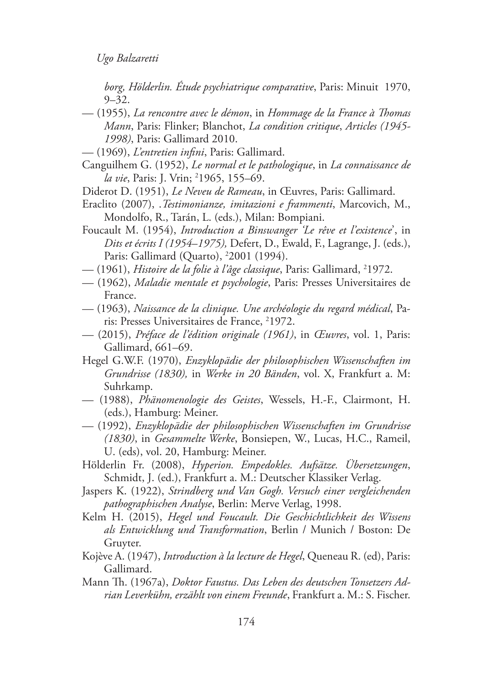*borg, Hölderlin. Étude psychiatrique comparative*, Paris: Minuit 1970,  $9 - 32.$ 

- (1955), *La rencontre avec le démon*, in *Hommage de la France à Thomas Mann*, Paris: Flinker; Blanchot, *La condition critique*, *Articles (1945- 1998)*, Paris: Gallimard 2010.
- (1969), *L'entretien infini*, Paris: Gallimard.
- Canguilhem G. (1952), *Le normal et le pathologique*, in *La connaissance de la vie*, Paris: J. Vrin; <sup>2</sup>1965, 155–69.
- Diderot D. (1951), *Le Neveu de Rameau*, in Œuvres, Paris: Gallimard.
- Eraclito (2007), .*Testimonianze, imitazioni e frammenti*, Marcovich, M., Mondolfo, R., Tarán, L. (eds.), Milan: Bompiani.
- Foucault M. (1954), *Introduction a Binswanger 'Le rêve et l'existence*', in *Dits et écrits I (1954*–*1975),* Defert, D., Ewald, F., Lagrange, J. (eds.), Paris: Gallimard (Quarto), 2 2001 (1994).
- (1961)*, Histoire de la folie à l'âge classique,* Paris: Gallimard, <sup>2</sup>1972.
- (1962), *Maladie mentale et psychologie*, Paris: Presses Universitaires de France.
- (1963), *Naissance de la clinique. Une archéologie du regard médical*, Paris: Presses Universitaires de France, <sup>2</sup>1972.
- (2015), *Préface de l'édition originale (1961)*, in *Œuvres*, vol. 1, Paris: Gallimard, 661–69.
- Hegel G.W.F. (1970), *Enzyklopädie der philosophischen Wissenschaften im Grundrisse (1830),* in *Werke in 20 Bänden*, vol. X, Frankfurt a. M: Suhrkamp.
- (1988), *Phänomenologie des Geistes*, Wessels, H.-F., Clairmont, H. (eds.), Hamburg: Meiner.
- (1992), *Enzyklopädie der philosophischen Wissenschaften im Grundrisse (1830)*, in *Gesammelte Werke*, Bonsiepen, W., Lucas, H.C., Rameil, U. (eds), vol. 20, Hamburg: Meiner.
- Hölderlin Fr. (2008), *Hyperion. Empedokles. Aufsätze. Übersetzungen*, Schmidt, J. (ed.), Frankfurt a. M.: Deutscher Klassiker Verlag.
- Jaspers K. (1922), *Strindberg und Van Gogh. Versuch einer vergleichenden pathographischen Analyse*, Berlin: Merve Verlag, 1998.
- Kelm H. (2015), *Hegel und Foucault. Die Geschichtlichkeit des Wissens als Entwicklung und Transformation*, Berlin / Munich / Boston: De Gruyter.
- Kojève A. (1947), *Introduction à la lecture de Hegel*, Queneau R. (ed), Paris: Gallimard.
- Mann Th. (1967a), *Doktor Faustus. Das Leben des deutschen Tonsetzers Adrian Leverkühn, erzählt von einem Freunde*, Frankfurt a. M.: S. Fischer.